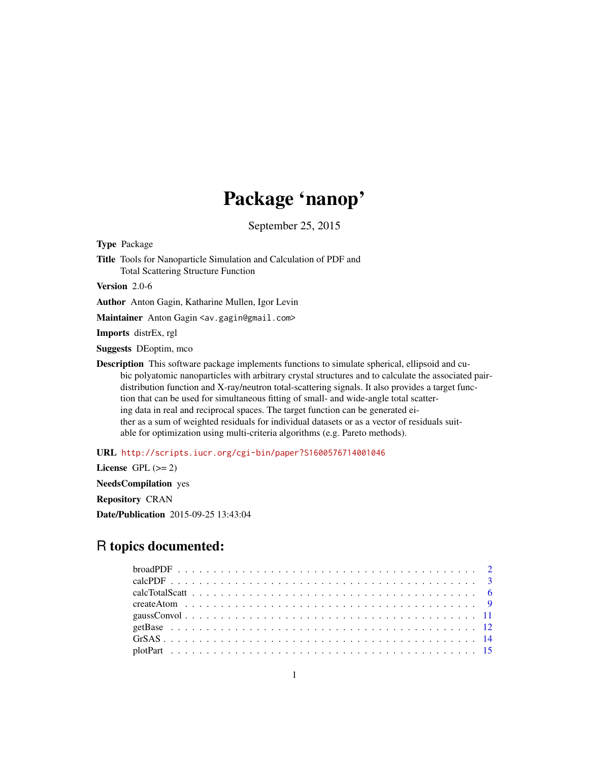# Package 'nanop'

September 25, 2015

Type Package

Title Tools for Nanoparticle Simulation and Calculation of PDF and Total Scattering Structure Function

Version 2.0-6

Author Anton Gagin, Katharine Mullen, Igor Levin

Maintainer Anton Gagin <av.gagin@gmail.com>

Imports distrEx, rgl

Suggests DEoptim, mco

Description This software package implements functions to simulate spherical, ellipsoid and cubic polyatomic nanoparticles with arbitrary crystal structures and to calculate the associated pairdistribution function and X-ray/neutron total-scattering signals. It also provides a target function that can be used for simultaneous fitting of small- and wide-angle total scattering data in real and reciprocal spaces. The target function can be generated either as a sum of weighted residuals for individual datasets or as a vector of residuals suitable for optimization using multi-criteria algorithms (e.g. Pareto methods).

URL <http://scripts.iucr.org/cgi-bin/paper?S1600576714001046>

License GPL  $(>= 2)$ NeedsCompilation yes Repository CRAN Date/Publication 2015-09-25 13:43:04

# R topics documented: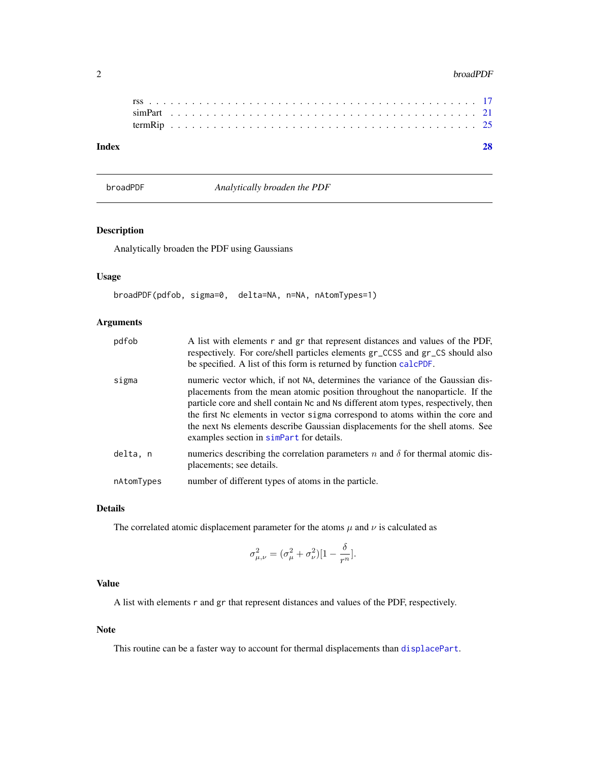#### <span id="page-1-0"></span>2 broadPDF

| Index |  |  |  |  |  |  |  |  |  |  |  |  |  |  |  |  |  |  |  |  |  |  |
|-------|--|--|--|--|--|--|--|--|--|--|--|--|--|--|--|--|--|--|--|--|--|--|
|       |  |  |  |  |  |  |  |  |  |  |  |  |  |  |  |  |  |  |  |  |  |  |
|       |  |  |  |  |  |  |  |  |  |  |  |  |  |  |  |  |  |  |  |  |  |  |

<span id="page-1-1"></span>broadPDF *Analytically broaden the PDF*

# Description

Analytically broaden the PDF using Gaussians

# Usage

broadPDF(pdfob, sigma=0, delta=NA, n=NA, nAtomTypes=1)

# Arguments

| pdfob      | A list with elements $r$ and $gr$ that represent distances and values of the PDF,<br>respectively. For core/shell particles elements gr_CCSS and gr_CS should also<br>be specified. A list of this form is returned by function calcPDF.                                                                                                                                                                                                                          |
|------------|-------------------------------------------------------------------------------------------------------------------------------------------------------------------------------------------------------------------------------------------------------------------------------------------------------------------------------------------------------------------------------------------------------------------------------------------------------------------|
| sigma      | numeric vector which, if not NA, determines the variance of the Gaussian dis-<br>placements from the mean atomic position throughout the nanoparticle. If the<br>particle core and shell contain Nc and Ns different atom types, respectively, then<br>the first Nc elements in vector sigma correspond to atoms within the core and<br>the next Ns elements describe Gaussian displacements for the shell atoms. See<br>examples section in simpart for details. |
| delta, n   | numerics describing the correlation parameters n and $\delta$ for thermal atomic dis-<br>placements; see details.                                                                                                                                                                                                                                                                                                                                                 |
| nAtomTypes | number of different types of atoms in the particle.                                                                                                                                                                                                                                                                                                                                                                                                               |

# Details

The correlated atomic displacement parameter for the atoms  $\mu$  and  $\nu$  is calculated as

$$
\sigma_{\mu,\nu}^2 = (\sigma_{\mu}^2 + \sigma_{\nu}^2)[1 - \frac{\delta}{r^n}].
$$

# Value

A list with elements r and gr that represent distances and values of the PDF, respectively.

# Note

This routine can be a faster way to account for thermal displacements than [displacePart](#page-20-2).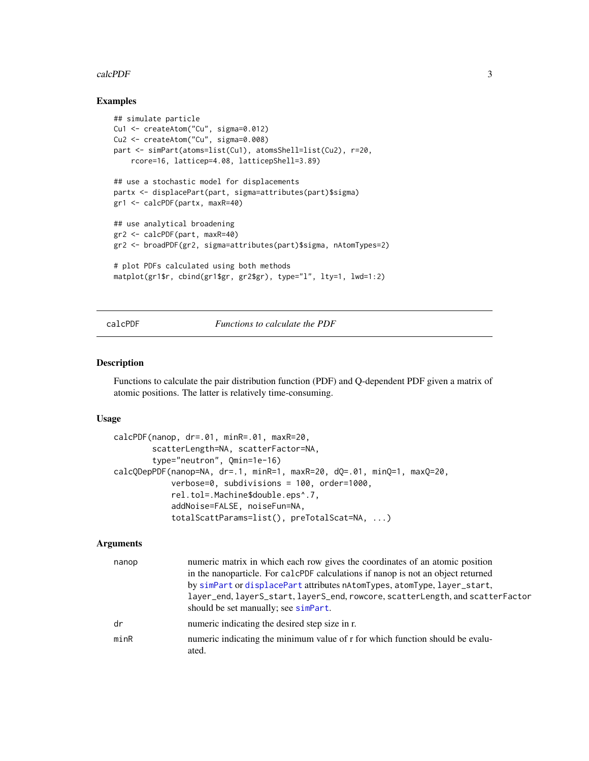#### <span id="page-2-0"></span>calcPDF 3

# Examples

```
## simulate particle
Cu1 <- createAtom("Cu", sigma=0.012)
Cu2 <- createAtom("Cu", sigma=0.008)
part <- simPart(atoms=list(Cu1), atomsShell=list(Cu2), r=20,
    rcore=16, latticep=4.08, latticepShell=3.89)
## use a stochastic model for displacements
partx <- displacePart(part, sigma=attributes(part)$sigma)
gr1 <- calcPDF(partx, maxR=40)
## use analytical broadening
gr2 <- calcPDF(part, maxR=40)
gr2 <- broadPDF(gr2, sigma=attributes(part)$sigma, nAtomTypes=2)
# plot PDFs calculated using both methods
matplot(gr1$r, cbind(gr1$gr, gr2$gr), type="l", lty=1, lwd=1:2)
```
# <span id="page-2-1"></span>calcPDF *Functions to calculate the PDF*

# <span id="page-2-2"></span>Description

Functions to calculate the pair distribution function (PDF) and Q-dependent PDF given a matrix of atomic positions. The latter is relatively time-consuming.

#### Usage

```
calcPDF(nanop, dr=.01, minR=.01, maxR=20,
       scatterLength=NA, scatterFactor=NA,
        type="neutron", Qmin=1e-16)
calcQDepPDF(nanop=NA, dr=.1, minR=1, maxR=20, dQ=.01, minQ=1, maxQ=20,
            verbose=0, subdivisions = 100, order=1000,
            rel.tol=.Machine$double.eps^.7,
            addNoise=FALSE, noiseFun=NA,
            totalScattParams=list(), preTotalScat=NA, ...)
```
# Arguments

| nanop | numeric matrix in which each row gives the coordinates of an atomic position<br>in the nanoparticle. For calcer productions if nanop is not an object returned<br>by simPart or displacePart attributes nAtomTypes, atomType, layer_start,<br>layer_end, layerS_start, layerS_end, rowcore, scatterLength, and scatterFactor<br>should be set manually; see simpart. |
|-------|----------------------------------------------------------------------------------------------------------------------------------------------------------------------------------------------------------------------------------------------------------------------------------------------------------------------------------------------------------------------|
| dr    | numeric indicating the desired step size in r.                                                                                                                                                                                                                                                                                                                       |
| minR  | numeric indicating the minimum value of r for which function should be evalu-<br>ated.                                                                                                                                                                                                                                                                               |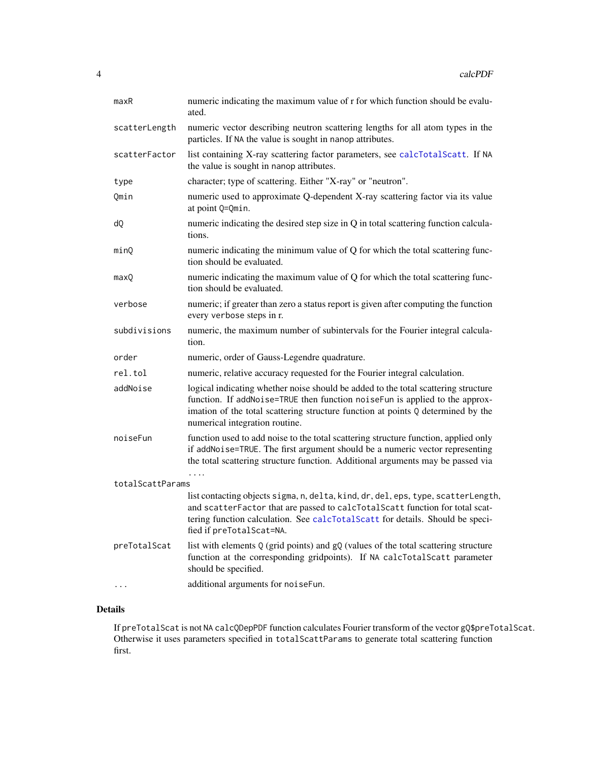<span id="page-3-0"></span>

| maxR             | numeric indicating the maximum value of r for which function should be evalu-<br>ated.                                                                                                                                                                                                  |
|------------------|-----------------------------------------------------------------------------------------------------------------------------------------------------------------------------------------------------------------------------------------------------------------------------------------|
| scatterLength    | numeric vector describing neutron scattering lengths for all atom types in the<br>particles. If NA the value is sought in nanop attributes.                                                                                                                                             |
| scatterFactor    | list containing X-ray scattering factor parameters, see calcTotalScatt. If NA<br>the value is sought in nanop attributes.                                                                                                                                                               |
| type             | character; type of scattering. Either "X-ray" or "neutron".                                                                                                                                                                                                                             |
| Qmin             | numeric used to approximate Q-dependent X-ray scattering factor via its value<br>at point Q=Qmin.                                                                                                                                                                                       |
| dQ               | numeric indicating the desired step size in Q in total scattering function calcula-<br>tions.                                                                                                                                                                                           |
| minQ             | numeric indicating the minimum value of Q for which the total scattering func-<br>tion should be evaluated.                                                                                                                                                                             |
| maxQ             | numeric indicating the maximum value of Q for which the total scattering func-<br>tion should be evaluated.                                                                                                                                                                             |
| verbose          | numeric; if greater than zero a status report is given after computing the function<br>every verbose steps in r.                                                                                                                                                                        |
| subdivisions     | numeric, the maximum number of subintervals for the Fourier integral calcula-<br>tion.                                                                                                                                                                                                  |
| order            | numeric, order of Gauss-Legendre quadrature.                                                                                                                                                                                                                                            |
| rel.tol          | numeric, relative accuracy requested for the Fourier integral calculation.                                                                                                                                                                                                              |
| addNoise         | logical indicating whether noise should be added to the total scattering structure<br>function. If addNoise=TRUE then function noiseFun is applied to the approx-<br>imation of the total scattering structure function at points Q determined by the<br>numerical integration routine. |
| noiseFun         | function used to add noise to the total scattering structure function, applied only<br>if addNoise=TRUE. The first argument should be a numeric vector representing<br>the total scattering structure function. Additional arguments may be passed via                                  |
| totalScattParams |                                                                                                                                                                                                                                                                                         |
|                  | list contacting objects sigma, n, delta, kind, dr, del, eps, type, scatterLength,<br>and scatterFactor that are passed to calcTotalScatt function for total scat-<br>tering function calculation. See calcTotalScatt for details. Should be speci-<br>fied if preTotalScat=NA.          |
| preTotalScat     | list with elements Q (grid points) and gQ (values of the total scattering structure<br>function at the corresponding gridpoints). If NA calcTotalScatt parameter<br>should be specified.                                                                                                |
| .                | additional arguments for noiseFun.                                                                                                                                                                                                                                                      |

# Details

If preTotalScat is not NA calcQDepPDF function calculates Fourier transform of the vector gQ\$preTotalScat. Otherwise it uses parameters specified in totalScattParams to generate total scattering function first.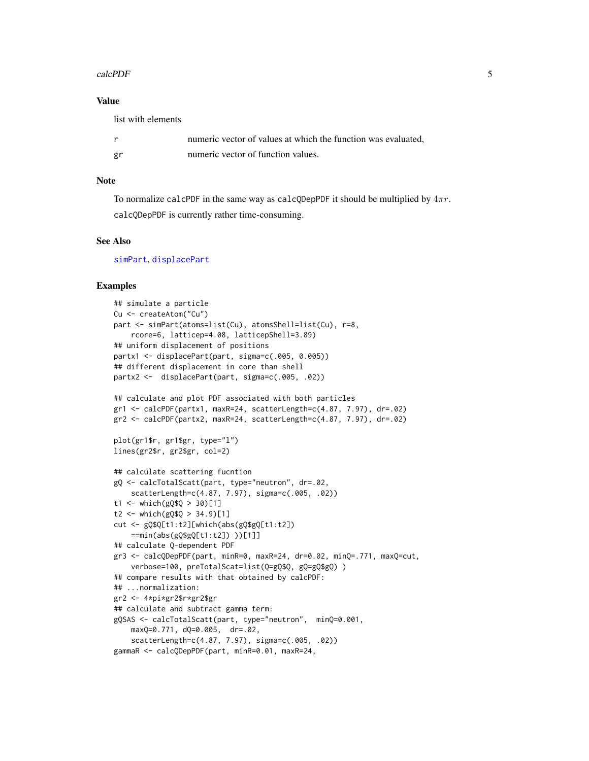# <span id="page-4-0"></span>calcPDF 5

# Value

list with elements

|    | numeric vector of values at which the function was evaluated. |
|----|---------------------------------------------------------------|
| gr | numeric vector of function values.                            |

# Note

To normalize calcPDF in the same way as calcQDepPDF it should be multiplied by  $4\pi r$ . calcQDepPDF is currently rather time-consuming.

### See Also

[simPart](#page-20-1), [displacePart](#page-20-2)

```
## simulate a particle
Cu <- createAtom("Cu")
part <- simPart(atoms=list(Cu), atomsShell=list(Cu), r=8,
   rcore=6, latticep=4.08, latticepShell=3.89)
## uniform displacement of positions
partx1 <- displacePart(part, sigma=c(.005, 0.005))
## different displacement in core than shell
partx2 <- displacePart(part, sigma=c(.005, .02))
## calculate and plot PDF associated with both particles
gr1 <- calcPDF(partx1, maxR=24, scatterLength=c(4.87, 7.97), dr=.02)
gr2 <- calcPDF(partx2, maxR=24, scatterLength=c(4.87, 7.97), dr=.02)
plot(gr1$r, gr1$gr, type="l")
lines(gr2$r, gr2$gr, col=2)
## calculate scattering fucntion
gQ <- calcTotalScatt(part, type="neutron", dr=.02,
    scatterLength=c(4.87, 7.97), sigma=c(.005, .02))
t1 <- which(gQ$Q > 30[1]
t2 <- which(gQ$Q > 34.9)[1]
cut <- gQ$Q[t1:t2][which(abs(gQ$gQ[t1:t2])
    ==min(abs(gQ$gQ[t1:t2]) ))[1]]
## calculate Q-dependent PDF
gr3 <- calcQDepPDF(part, minR=0, maxR=24, dr=0.02, minQ=.771, maxQ=cut,
    verbose=100, preTotalScat=list(Q=gQ$Q, gQ=gQ$gQ) )
## compare results with that obtained by calcPDF:
## ...normalization:
gr2 <- 4*pi*gr2$r*gr2$gr
## calculate and subtract gamma term:
gQSAS <- calcTotalScatt(part, type="neutron", minQ=0.001,
   maxQ=0.771, dQ=0.005, dr=.02,
    scatterLength=c(4.87, 7.97), sigma=c(.005, .02))
gammaR <- calcQDepPDF(part, minR=0.01, maxR=24,
```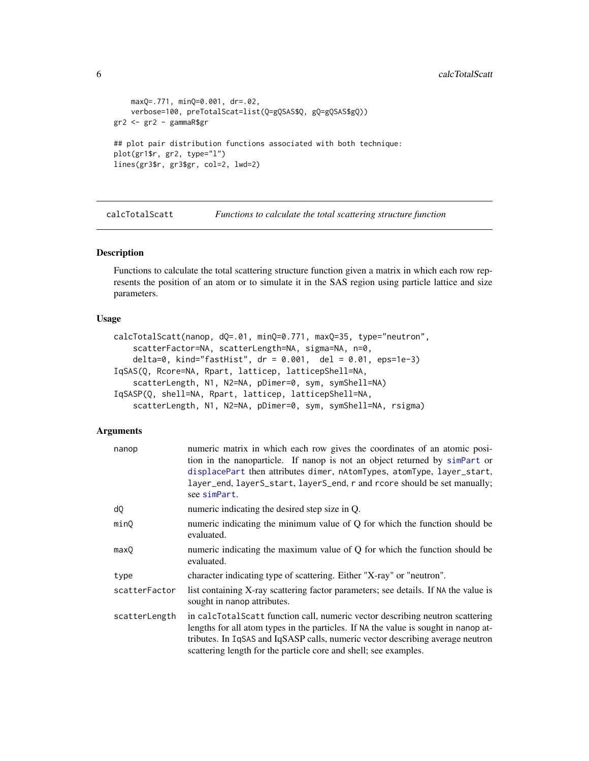```
maxQ=.771, minQ=0.001, dr=.02,
    verbose=100, preTotalScat=list(Q=gQSAS$Q, gQ=gQSAS$gQ))
gr2 <- gr2 - gammaR$gr
## plot pair distribution functions associated with both technique:
plot(gr1$r, gr2, type="l")
lines(gr3$r, gr3$gr, col=2, lwd=2)
```
<span id="page-5-1"></span>calcTotalScatt *Functions to calculate the total scattering structure function*

# <span id="page-5-2"></span>Description

Functions to calculate the total scattering structure function given a matrix in which each row represents the position of an atom or to simulate it in the SAS region using particle lattice and size parameters.

# Usage

```
calcTotalScatt(nanop, dQ=.01, minQ=0.771, maxQ=35, type="neutron",
   scatterFactor=NA, scatterLength=NA, sigma=NA, n=0,
    delta=0, kind="fastHist", dr = 0.001, del = 0.01, eps=1e-3)
IqSAS(Q, Rcore=NA, Rpart, latticep, latticepShell=NA,
   scatterLength, N1, N2=NA, pDimer=0, sym, symShell=NA)
IqSASP(Q, shell=NA, Rpart, latticep, latticepShell=NA,
   scatterLength, N1, N2=NA, pDimer=0, sym, symShell=NA, rsigma)
```
# Arguments

| nanop         | numeric matrix in which each row gives the coordinates of an atomic posi-<br>tion in the nanoparticle. If nanop is not an object returned by simplart or<br>displacePart then attributes dimer, nAtomTypes, atomType, layer_start,<br>layer_end, layerS_start, layerS_end, r and rcore should be set manually;<br>see simPart. |
|---------------|--------------------------------------------------------------------------------------------------------------------------------------------------------------------------------------------------------------------------------------------------------------------------------------------------------------------------------|
| dQ            | numeric indicating the desired step size in Q.                                                                                                                                                                                                                                                                                 |
| minO          | numeric indicating the minimum value of Q for which the function should be<br>evaluated.                                                                                                                                                                                                                                       |
| maxQ          | numeric indicating the maximum value of Q for which the function should be<br>evaluated.                                                                                                                                                                                                                                       |
| type          | character indicating type of scattering. Either "X-ray" or "neutron".                                                                                                                                                                                                                                                          |
| scatterFactor | list containing X-ray scattering factor parameters; see details. If NA the value is<br>sought in nanop attributes.                                                                                                                                                                                                             |
| scatterLength | in calcTotalScatt function call, numeric vector describing neutron scattering<br>lengths for all atom types in the particles. If NA the value is sought in nanop at-<br>tributes. In IqSAS and IqSASP calls, numeric vector describing average neutron<br>scattering length for the particle core and shell; see examples.     |

<span id="page-5-0"></span>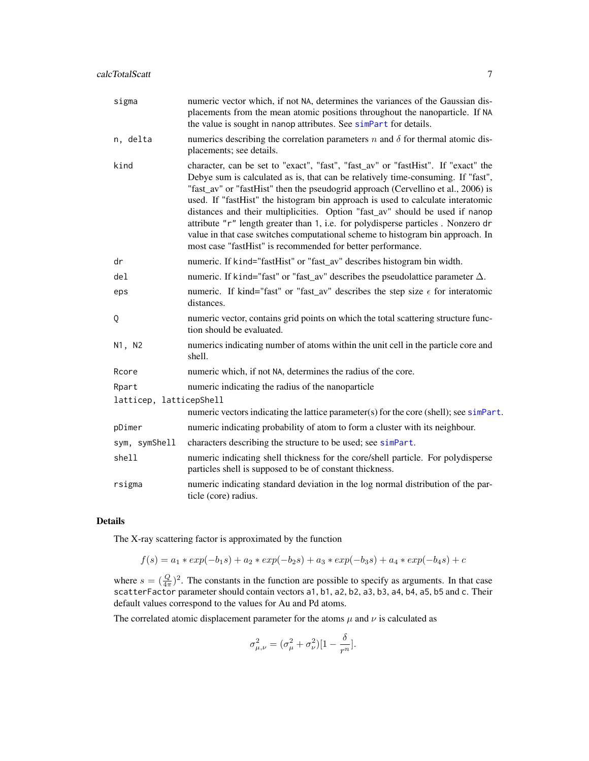| sigma                   | numeric vector which, if not NA, determines the variances of the Gaussian dis-<br>placements from the mean atomic positions throughout the nanoparticle. If NA<br>the value is sought in nanop attributes. See simpart for details.                                                                                                                                                                                                                                                                                                                                                                                                                                |
|-------------------------|--------------------------------------------------------------------------------------------------------------------------------------------------------------------------------------------------------------------------------------------------------------------------------------------------------------------------------------------------------------------------------------------------------------------------------------------------------------------------------------------------------------------------------------------------------------------------------------------------------------------------------------------------------------------|
| n, delta                | numerics describing the correlation parameters n and $\delta$ for thermal atomic dis-<br>placements; see details.                                                                                                                                                                                                                                                                                                                                                                                                                                                                                                                                                  |
| kind                    | character, can be set to "exact", "fast", "fast_av" or "fastHist". If "exact" the<br>Debye sum is calculated as is, that can be relatively time-consuming. If "fast",<br>"fast_av" or "fastHist" then the pseudogrid approach (Cervellino et al., 2006) is<br>used. If "fastHist" the histogram bin approach is used to calculate interatomic<br>distances and their multiplicities. Option "fast_av" should be used if nanop<br>attribute "r" length greater than 1, i.e. for polydisperse particles. Nonzero dr<br>value in that case switches computational scheme to histogram bin approach. In<br>most case "fastHist" is recommended for better performance. |
| dr                      | numeric. If kind="fastHist" or "fast_av" describes histogram bin width.                                                                                                                                                                                                                                                                                                                                                                                                                                                                                                                                                                                            |
| del                     | numeric. If kind="fast" or "fast_av" describes the pseudolattice parameter $\Delta$ .                                                                                                                                                                                                                                                                                                                                                                                                                                                                                                                                                                              |
| eps                     | numeric. If kind="fast" or "fast_av" describes the step size $\epsilon$ for interatomic<br>distances.                                                                                                                                                                                                                                                                                                                                                                                                                                                                                                                                                              |
| Q                       | numeric vector, contains grid points on which the total scattering structure func-<br>tion should be evaluated.                                                                                                                                                                                                                                                                                                                                                                                                                                                                                                                                                    |
| N1, N2                  | numerics indicating number of atoms within the unit cell in the particle core and<br>shell.                                                                                                                                                                                                                                                                                                                                                                                                                                                                                                                                                                        |
| Rcore                   | numeric which, if not NA, determines the radius of the core.                                                                                                                                                                                                                                                                                                                                                                                                                                                                                                                                                                                                       |
| Rpart                   | numeric indicating the radius of the nanoparticle                                                                                                                                                                                                                                                                                                                                                                                                                                                                                                                                                                                                                  |
| latticep, latticepShell |                                                                                                                                                                                                                                                                                                                                                                                                                                                                                                                                                                                                                                                                    |
|                         | numeric vectors indicating the lattice parameter(s) for the core (shell); see simPart.                                                                                                                                                                                                                                                                                                                                                                                                                                                                                                                                                                             |
| pDimer                  | numeric indicating probability of atom to form a cluster with its neighbour.                                                                                                                                                                                                                                                                                                                                                                                                                                                                                                                                                                                       |
| sym, symShell           | characters describing the structure to be used; see simPart.                                                                                                                                                                                                                                                                                                                                                                                                                                                                                                                                                                                                       |
| shell                   | numeric indicating shell thickness for the core/shell particle. For polydisperse<br>particles shell is supposed to be of constant thickness.                                                                                                                                                                                                                                                                                                                                                                                                                                                                                                                       |
| rsigma                  | numeric indicating standard deviation in the log normal distribution of the par-<br>ticle (core) radius.                                                                                                                                                                                                                                                                                                                                                                                                                                                                                                                                                           |

# Details

The X-ray scattering factor is approximated by the function

 $f(s) = a_1 \ast exp(-b_1s) + a_2 \ast exp(-b_2s) + a_3 \ast exp(-b_3s) + a_4 \ast exp(-b_4s) + c$ 

where  $s = (\frac{Q}{4\pi})^2$ . The constants in the function are possible to specify as arguments. In that case scatterFactor parameter should contain vectors a1, b1, a2, b2, a3, b3, a4, b4, a5, b5 and c. Their default values correspond to the values for Au and Pd atoms.

The correlated atomic displacement parameter for the atoms  $\mu$  and  $\nu$  is calculated as

$$
\sigma_{\mu,\nu}^2 = (\sigma_{\mu}^2 + \sigma_{\nu}^2)[1 - \frac{\delta}{r^n}].
$$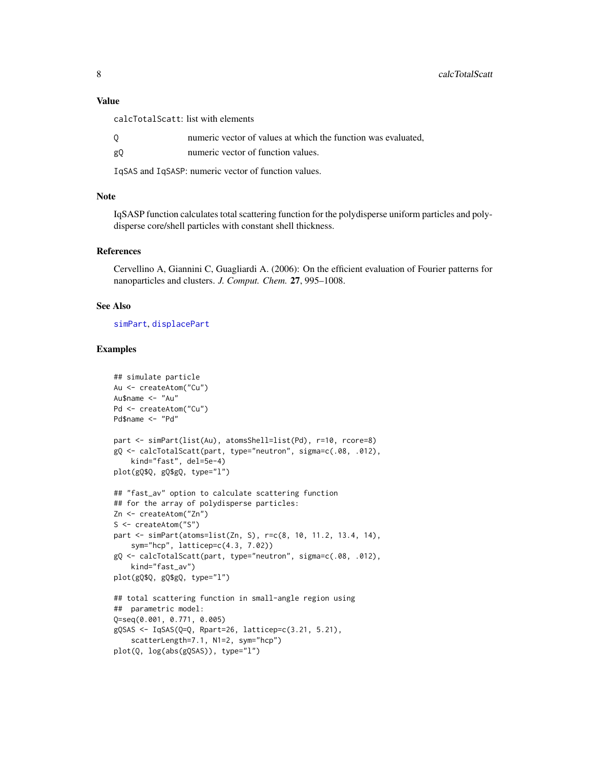<span id="page-7-0"></span>calcTotalScatt: list with elements

|  |  |  |  |  |  |  |  | numeric vector of values at which the function was evaluated, |  |
|--|--|--|--|--|--|--|--|---------------------------------------------------------------|--|
|--|--|--|--|--|--|--|--|---------------------------------------------------------------|--|

gQ numeric vector of function values.

IqSAS and IqSASP: numeric vector of function values.

#### Note

IqSASP function calculates total scattering function for the polydisperse uniform particles and polydisperse core/shell particles with constant shell thickness.

#### References

Cervellino A, Giannini C, Guagliardi A. (2006): On the efficient evaluation of Fourier patterns for nanoparticles and clusters. *J. Comput. Chem.* 27, 995–1008.

# See Also

[simPart](#page-20-1), [displacePart](#page-20-2)

```
## simulate particle
Au <- createAtom("Cu")
Au$name <- "Au"
Pd <- createAtom("Cu")
Pd$name <- "Pd"
part <- simPart(list(Au), atomsShell=list(Pd), r=10, rcore=8)
gQ <- calcTotalScatt(part, type="neutron", sigma=c(.08, .012),
    kind="fast", del=5e-4)
plot(gQ$Q, gQ$gQ, type="l")
## "fast_av" option to calculate scattering function
## for the array of polydisperse particles:
Zn <- createAtom("Zn")
S <- createAtom("S")
part <- simPart(atoms=list(Zn, S), r=c(8, 10, 11.2, 13.4, 14),
    sym="hcp", latticep=c(4.3, 7.02))
gQ <- calcTotalScatt(part, type="neutron", sigma=c(.08, .012),
    kind="fast_av")
plot(gQ$Q, gQ$gQ, type="l")
## total scattering function in small-angle region using
## parametric model:
Q=seq(0.001, 0.771, 0.005)
gQSAS <- IqSAS(Q=Q, Rpart=26, latticep=c(3.21, 5.21),
    scatterLength=7.1, N1=2, sym="hcp")
plot(Q, log(abs(gQSAS)), type="l")
```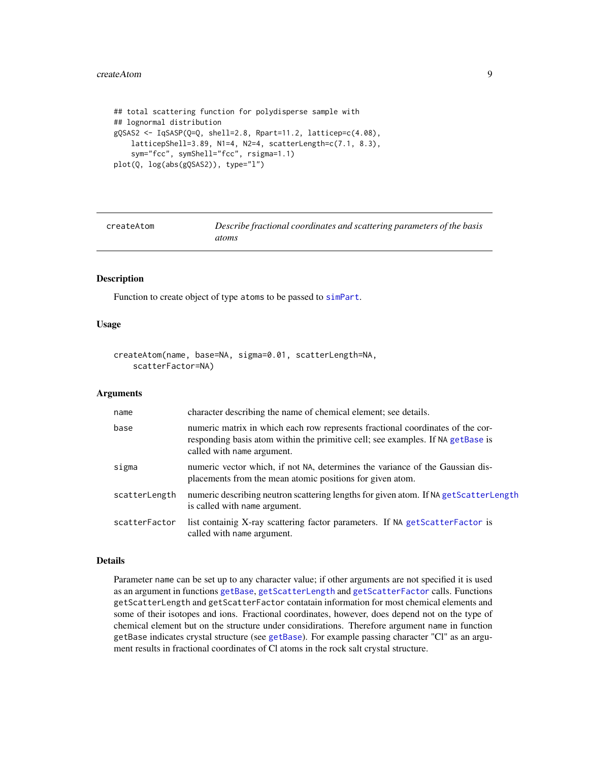#### <span id="page-8-0"></span>createAtom 9

```
## total scattering function for polydisperse sample with
## lognormal distribution
gQSAS2 <- IqSASP(Q=Q, shell=2.8, Rpart=11.2, latticep=c(4.08),
   latticepShell=3.89, N1=4, N2=4, scatterLength=c(7.1, 8.3),
    sym="fcc", symShell="fcc", rsigma=1.1)
plot(Q, log(abs(gQSAS2)), type="l")
```
<span id="page-8-1"></span>

| createAtom | Describe fractional coordinates and scattering parameters of the basis |
|------------|------------------------------------------------------------------------|
|            | atoms                                                                  |

# Description

Function to create object of type atoms to be passed to [simPart](#page-20-1).

# Usage

```
createAtom(name, base=NA, sigma=0.01, scatterLength=NA,
    scatterFactor=NA)
```
#### Arguments

| name          | character describing the name of chemical element; see details.                                                                                                                                 |
|---------------|-------------------------------------------------------------------------------------------------------------------------------------------------------------------------------------------------|
| base          | numeric matrix in which each row represents fractional coordinates of the cor-<br>responding basis atom within the primitive cell; see examples. If NA getBase is<br>called with name argument. |
| sigma         | numeric vector which, if not NA, determines the variance of the Gaussian dis-<br>placements from the mean atomic positions for given atom.                                                      |
| scatterLength | numeric describing neutron scattering lengths for given atom. If NA getScatterLength<br>is called with name argument.                                                                           |
| scatterFactor | list containing X-ray scattering factor parameters. If NA getScatterFactor is<br>called with name argument.                                                                                     |

# Details

Parameter name can be set up to any character value; if other arguments are not specified it is used as an argument in functions [getBase](#page-11-1), [getScatterLength](#page-11-2) and [getScatterFactor](#page-11-2) calls. Functions getScatterLength and getScatterFactor contatain information for most chemical elements and some of their isotopes and ions. Fractional coordinates, however, does depend not on the type of chemical element but on the structure under considirations. Therefore argument name in function getBase indicates crystal structure (see [getBase](#page-11-1)). For example passing character "Cl" as an argument results in fractional coordinates of Cl atoms in the rock salt crystal structure.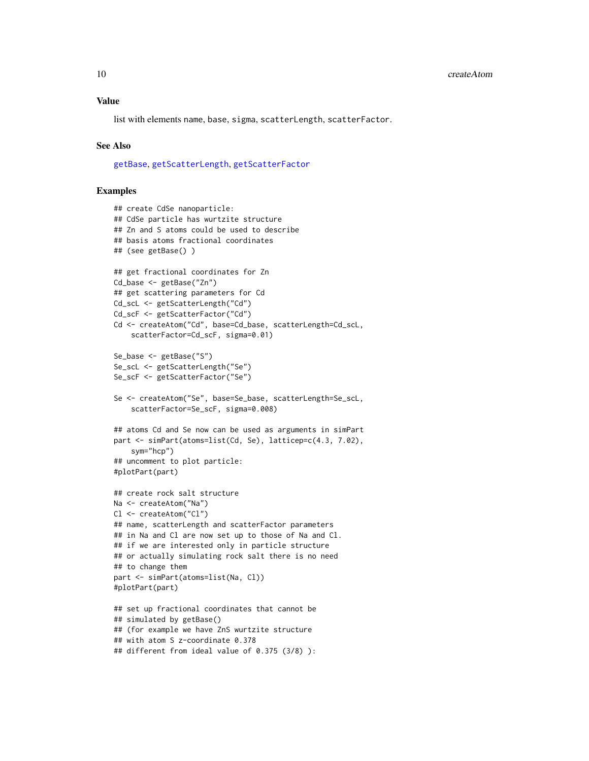<span id="page-9-0"></span>list with elements name, base, sigma, scatterLength, scatterFactor.

# See Also

[getBase](#page-11-1), [getScatterLength](#page-11-2), [getScatterFactor](#page-11-2)

```
## create CdSe nanoparticle:
## CdSe particle has wurtzite structure
## Zn and S atoms could be used to describe
## basis atoms fractional coordinates
## (see getBase() )
## get fractional coordinates for Zn
Cd_base <- getBase("Zn")
## get scattering parameters for Cd
Cd_scL <- getScatterLength("Cd")
Cd_scF <- getScatterFactor("Cd")
Cd <- createAtom("Cd", base=Cd_base, scatterLength=Cd_scL,
    scatterFactor=Cd_scF, sigma=0.01)
Se_base <- getBase("S")
Se_scL <- getScatterLength("Se")
Se_scF <- getScatterFactor("Se")
Se <- createAtom("Se", base=Se_base, scatterLength=Se_scL,
    scatterFactor=Se_scF, sigma=0.008)
## atoms Cd and Se now can be used as arguments in simPart
part <- simPart(atoms=list(Cd, Se), latticep=c(4.3, 7.02),
    sym="hcp")
## uncomment to plot particle:
#plotPart(part)
## create rock salt structure
Na <- createAtom("Na")
Cl <- createAtom("Cl")
## name, scatterLength and scatterFactor parameters
## in Na and Cl are now set up to those of Na and Cl.
## if we are interested only in particle structure
## or actually simulating rock salt there is no need
## to change them
part <- simPart(atoms=list(Na, Cl))
#plotPart(part)
## set up fractional coordinates that cannot be
## simulated by getBase()
## (for example we have ZnS wurtzite structure
## with atom S z-coordinate 0.378
## different from ideal value of 0.375 (3/8) ):
```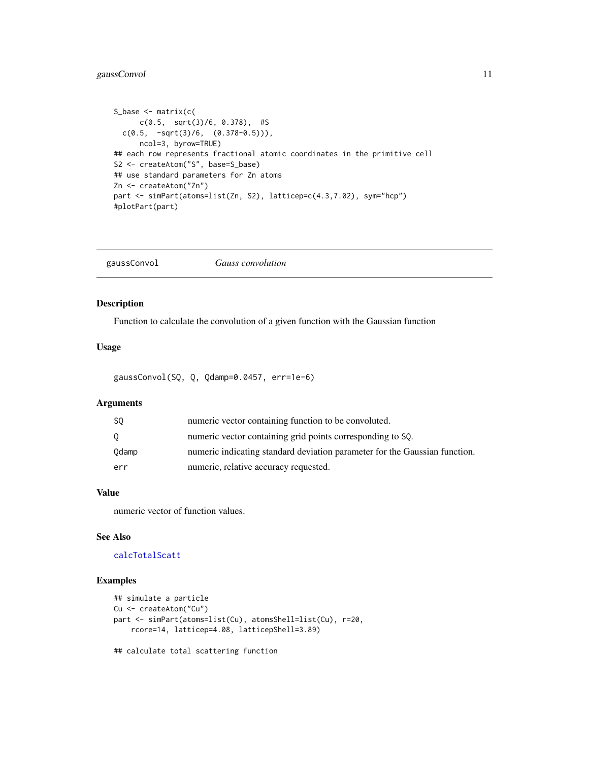# <span id="page-10-0"></span>gaussConvol 11

```
S_base <- matrix(c(
      c(0.5, sqrt(3)/6, 0.378), #S
  c(0.5, -sqrt(3)/6, (0.378-0.5)),
     ncol=3, byrow=TRUE)
## each row represents fractional atomic coordinates in the primitive cell
S2 <- createAtom("S", base=S_base)
## use standard parameters for Zn atoms
Zn <- createAtom("Zn")
part <- simPart(atoms=list(Zn, S2), latticep=c(4.3,7.02), sym="hcp")
#plotPart(part)
```
<span id="page-10-1"></span>gaussConvol *Gauss convolution*

# Description

Function to calculate the convolution of a given function with the Gaussian function

# Usage

gaussConvol(SQ, Q, Qdamp=0.0457, err=1e-6)

# Arguments

| S0      | numeric vector containing function to be convoluted.                       |
|---------|----------------------------------------------------------------------------|
| $\circ$ | numeric vector containing grid points corresponding to SQ.                 |
| Odamp   | numeric indicating standard deviation parameter for the Gaussian function. |
| err     | numeric, relative accuracy requested.                                      |

# Value

numeric vector of function values.

# See Also

# [calcTotalScatt](#page-5-1)

```
## simulate a particle
Cu <- createAtom("Cu")
part <- simPart(atoms=list(Cu), atomsShell=list(Cu), r=20,
   rcore=14, latticep=4.08, latticepShell=3.89)
## calculate total scattering function
```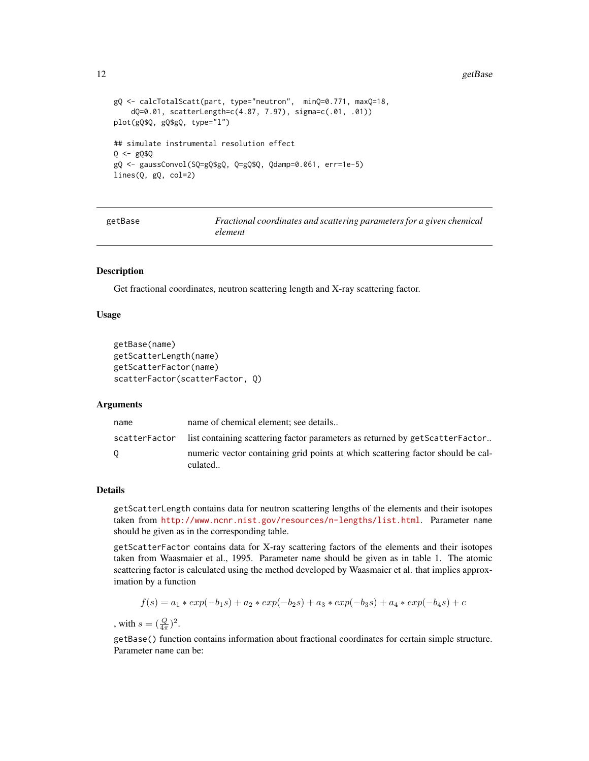#### <span id="page-11-0"></span>12 getBase and the set of the set of the set of the set of the set of the set of the set of the set of the set of the set of the set of the set of the set of the set of the set of the set of the set of the set of the set o

```
gQ <- calcTotalScatt(part, type="neutron", minQ=0.771, maxQ=18,
    dQ=0.01, scatterLength=c(4.87, 7.97), sigma=c(.01, .01))
plot(gQ$Q, gQ$gQ, type="l")
## simulate instrumental resolution effect
Q <- gQ$Q
gQ <- gaussConvol(SQ=gQ$gQ, Q=gQ$Q, Qdamp=0.061, err=1e-5)
lines(Q, gQ, col=2)
```
<span id="page-11-1"></span>

| getBase | Fractional coordinates and scattering parameters for a given chemical |
|---------|-----------------------------------------------------------------------|
|         | element                                                               |

# <span id="page-11-2"></span>**Description**

Get fractional coordinates, neutron scattering length and X-ray scattering factor.

#### Usage

```
getBase(name)
getScatterLength(name)
getScatterFactor(name)
scatterFactor(scatterFactor, Q)
```
# Arguments

| name | name of chemical element: see details                                                      |
|------|--------------------------------------------------------------------------------------------|
|      | scatterFactor list containing scattering factor parameters as returned by getScatterFactor |
| 0    | numeric vector containing grid points at which scattering factor should be cal-<br>culated |

# Details

getScatterLength contains data for neutron scattering lengths of the elements and their isotopes taken from <http://www.ncnr.nist.gov/resources/n-lengths/list.html>. Parameter name should be given as in the corresponding table.

getScatterFactor contains data for X-ray scattering factors of the elements and their isotopes taken from Waasmaier et al., 1995. Parameter name should be given as in table 1. The atomic scattering factor is calculated using the method developed by Waasmaier et al. that implies approximation by a function

$$
f(s) = a_1 \cdot exp(-b_1s) + a_2 \cdot exp(-b_2s) + a_3 \cdot exp(-b_3s) + a_4 \cdot exp(-b_4s) + c
$$

, with  $s = (\frac{Q}{4\pi})^2$ .

getBase() function contains information about fractional coordinates for certain simple structure. Parameter name can be: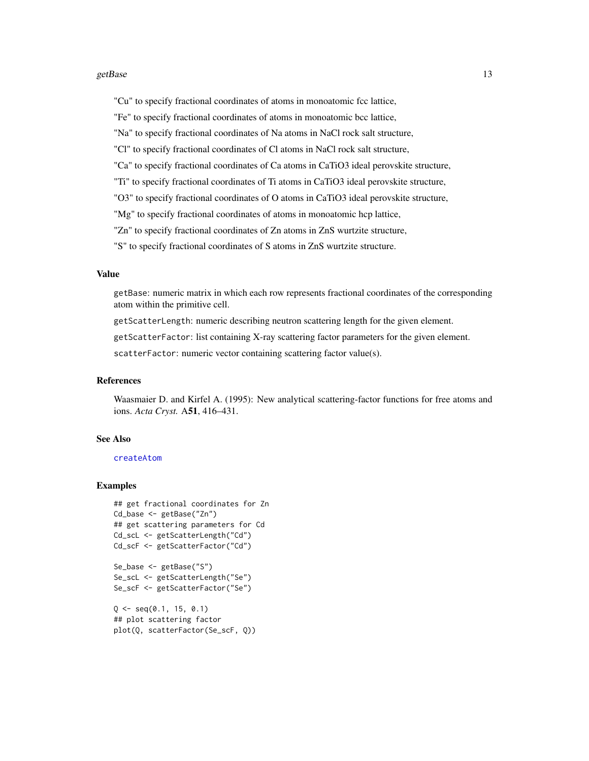#### <span id="page-12-0"></span>getBase  $13$

"Cu" to specify fractional coordinates of atoms in monoatomic fcc lattice,

"Fe" to specify fractional coordinates of atoms in monoatomic bcc lattice,

"Na" to specify fractional coordinates of Na atoms in NaCl rock salt structure,

"Cl" to specify fractional coordinates of Cl atoms in NaCl rock salt structure,

"Ca" to specify fractional coordinates of Ca atoms in CaTiO3 ideal perovskite structure,

"Ti" to specify fractional coordinates of Ti atoms in CaTiO3 ideal perovskite structure,

"O3" to specify fractional coordinates of O atoms in CaTiO3 ideal perovskite structure,

"Mg" to specify fractional coordinates of atoms in monoatomic hcp lattice,

"Zn" to specify fractional coordinates of Zn atoms in ZnS wurtzite structure,

"S" to specify fractional coordinates of S atoms in ZnS wurtzite structure.

# Value

getBase: numeric matrix in which each row represents fractional coordinates of the corresponding atom within the primitive cell.

getScatterLength: numeric describing neutron scattering length for the given element.

getScatterFactor: list containing X-ray scattering factor parameters for the given element.

scatterFactor: numeric vector containing scattering factor value(s).

# References

Waasmaier D. and Kirfel A. (1995): New analytical scattering-factor functions for free atoms and ions. *Acta Cryst.* A51, 416–431.

# See Also

# [createAtom](#page-8-1)

```
## get fractional coordinates for Zn
Cd_base <- getBase("Zn")
## get scattering parameters for Cd
Cd_scL <- getScatterLength("Cd")
Cd_scF <- getScatterFactor("Cd")
Se_base <- getBase("S")
```

```
Se_scL <- getScatterLength("Se")
Se_scF <- getScatterFactor("Se")
```

```
Q \le - seq(0.1, 15, 0.1)
## plot scattering factor
plot(Q, scatterFactor(Se_scF, Q))
```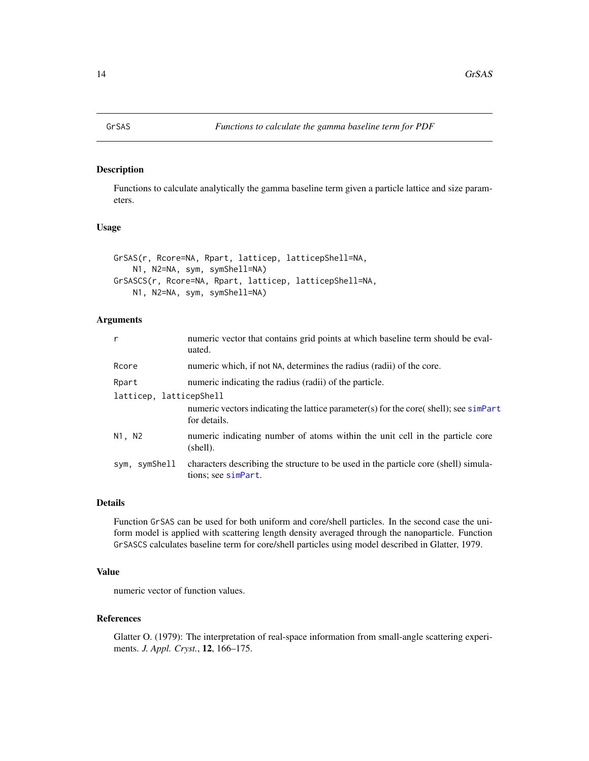<span id="page-13-1"></span><span id="page-13-0"></span>

# <span id="page-13-2"></span>Description

Functions to calculate analytically the gamma baseline term given a particle lattice and size parameters.

# Usage

```
GrSAS(r, Rcore=NA, Rpart, latticep, latticepShell=NA,
   N1, N2=NA, sym, symShell=NA)
GrSASCS(r, Rcore=NA, Rpart, latticep, latticepShell=NA,
   N1, N2=NA, sym, symShell=NA)
```
# Arguments

| $\mathsf{r}$            | numeric vector that contains grid points at which baseline term should be eval-<br>uated.                  |  |
|-------------------------|------------------------------------------------------------------------------------------------------------|--|
| Rcore                   | numeric which, if not NA, determines the radius (radii) of the core.                                       |  |
| Rpart                   | numeric indicating the radius (radii) of the particle.                                                     |  |
| latticep, latticepShell |                                                                                                            |  |
|                         | numeric vectors indicating the lattice parameter(s) for the core(shell); see sime<br>for details.          |  |
| N1, N2                  | numeric indicating number of atoms within the unit cell in the particle core<br>(shell).                   |  |
| sym, symShell           | characters describing the structure to be used in the particle core (shell) simula-<br>tions; see simpart. |  |

# Details

Function GrSAS can be used for both uniform and core/shell particles. In the second case the uniform model is applied with scattering length density averaged through the nanoparticle. Function GrSASCS calculates baseline term for core/shell particles using model described in Glatter, 1979.

# Value

numeric vector of function values.

# References

Glatter O. (1979): The interpretation of real-space information from small-angle scattering experiments. *J. Appl. Cryst.*, 12, 166–175.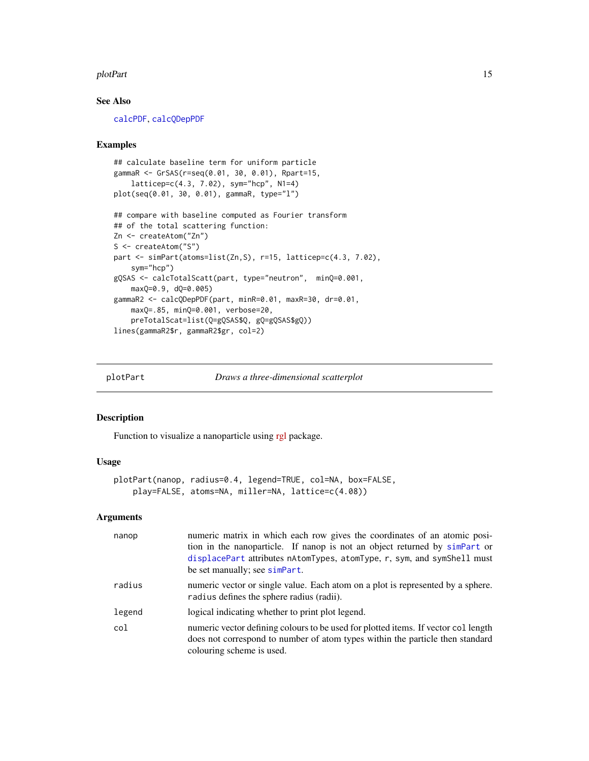#### <span id="page-14-0"></span>plotPart 15

# See Also

[calcPDF](#page-2-1), [calcQDepPDF](#page-2-2)

#### Examples

```
## calculate baseline term for uniform particle
gammaR <- GrSAS(r=seq(0.01, 30, 0.01), Rpart=15,
   latticep=c(4.3, 7.02), sym="hcp", N1=4)
plot(seq(0.01, 30, 0.01), gammaR, type="l")
## compare with baseline computed as Fourier transform
## of the total scattering function:
Zn <- createAtom("Zn")
S <- createAtom("S")
part <- simPart(atoms=list(Zn,S), r=15, latticep=c(4.3, 7.02),
    sym="hcp")
gQSAS <- calcTotalScatt(part, type="neutron", minQ=0.001,
   maxQ=0.9, dQ=0.005)
gammaR2 <- calcQDepPDF(part, minR=0.01, maxR=30, dr=0.01,
   maxQ=.85, minQ=0.001, verbose=20,
    preTotalScat=list(Q=gQSAS$Q, gQ=gQSAS$gQ))
lines(gammaR2$r, gammaR2$gr, col=2)
```
plotPart *Draws a three-dimensional scatterplot*

# Description

Function to visualize a nanoparticle using [rgl](http://CRAN.R-project.org/package=rgl) package.

## Usage

```
plotPart(nanop, radius=0.4, legend=TRUE, col=NA, box=FALSE,
   play=FALSE, atoms=NA, miller=NA, lattice=c(4.08))
```
# Arguments

| nanop  | numeric matrix in which each row gives the coordinates of an atomic posi-<br>tion in the nanoparticle. If nanop is not an object returned by simpart or<br>displacePart attributes nAtomTypes, atomType, r, sym, and symShell must<br>be set manually; see simpart. |
|--------|---------------------------------------------------------------------------------------------------------------------------------------------------------------------------------------------------------------------------------------------------------------------|
| radius | numeric vector or single value. Each atom on a plot is represented by a sphere.<br>radius defines the sphere radius (radii).                                                                                                                                        |
| legend | logical indicating whether to print plot legend.                                                                                                                                                                                                                    |
| col    | numeric vector defining colours to be used for plotted items. If vector collength<br>does not correspond to number of atom types within the particle then standard<br>colouring scheme is used.                                                                     |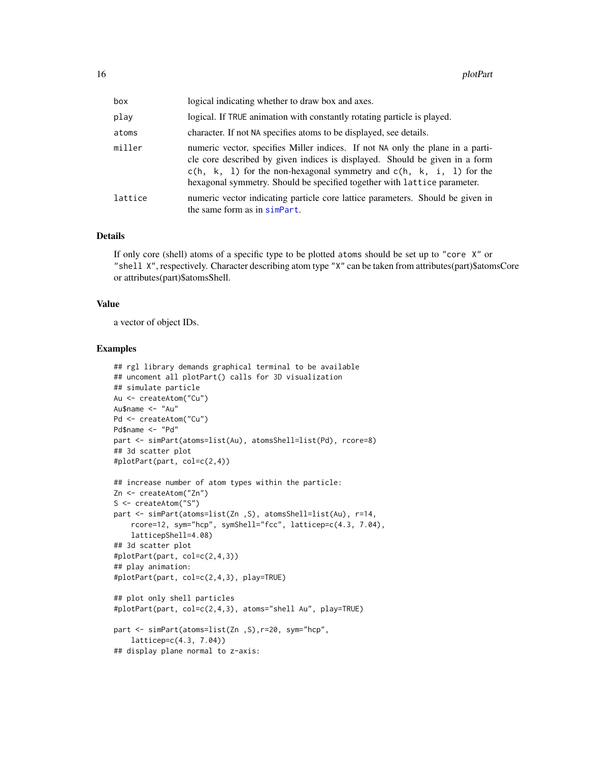| box     | logical indicating whether to draw box and axes.                                                                                                                                                                                                                                                                     |
|---------|----------------------------------------------------------------------------------------------------------------------------------------------------------------------------------------------------------------------------------------------------------------------------------------------------------------------|
| play    | logical. If TRUE animation with constantly rotating particle is played.                                                                                                                                                                                                                                              |
| atoms   | character. If not NA specifies atoms to be displayed, see details.                                                                                                                                                                                                                                                   |
| miller  | numeric vector, specifies Miller indices. If not NA only the plane in a parti-<br>cle core described by given indices is displayed. Should be given in a form<br>$c(h, k, 1)$ for the non-hexagonal symmetry and $c(h, k, i, 1)$ for the<br>hexagonal symmetry. Should be specified together with lattice parameter. |
| lattice | numeric vector indicating particle core lattice parameters. Should be given in<br>the same form as in simpart.                                                                                                                                                                                                       |

#### Details

If only core (shell) atoms of a specific type to be plotted atoms should be set up to "core X" or "shell X", respectively. Character describing atom type "X" can be taken from attributes(part)\$atomsCore or attributes(part)\$atomsShell.

# Value

a vector of object IDs.

```
## rgl library demands graphical terminal to be available
## uncoment all plotPart() calls for 3D visualization
## simulate particle
Au <- createAtom("Cu")
Au$name <- "Au"
Pd <- createAtom("Cu")
Pd$name <- "Pd"
part <- simPart(atoms=list(Au), atomsShell=list(Pd), rcore=8)
## 3d scatter plot
#plotPart(part, col=c(2,4))
## increase number of atom types within the particle:
Zn <- createAtom("Zn")
S <- createAtom("S")
part <- simPart(atoms=list(Zn ,S), atomsShell=list(Au), r=14,
    rcore=12, sym="hcp", symShell="fcc", latticep=c(4.3, 7.04),
    latticepShell=4.08)
## 3d scatter plot
#plotPart(part, col=c(2,4,3))
## play animation:
#plotPart(part, col=c(2,4,3), play=TRUE)
## plot only shell particles
#plotPart(part, col=c(2,4,3), atoms="shell Au", play=TRUE)
part <- simPart(atoms=list(Zn ,S),r=20, sym="hcp",
   latticep=c(4.3, 7.04))
## display plane normal to z-axis:
```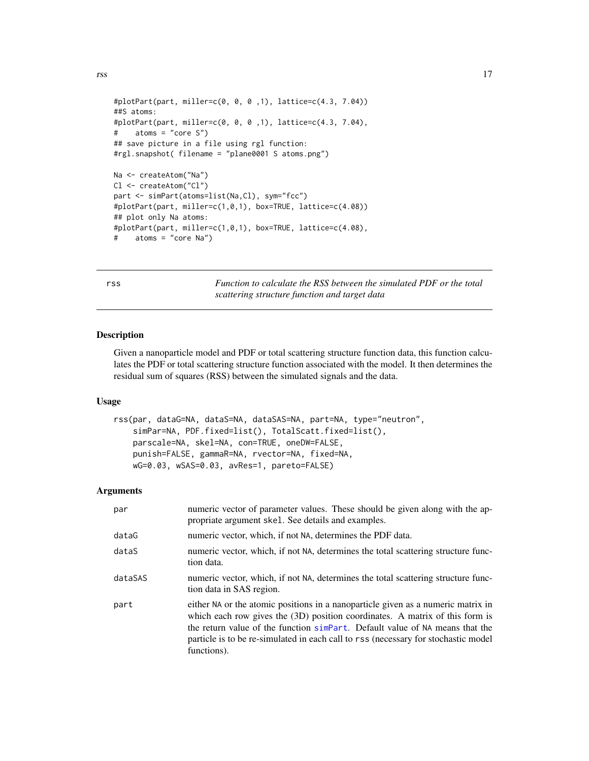```
rss and the contract of the contract of the contract of the contract of the contract of the contract of the contract of the contract of the contract of the contract of the contract of the contract of the contract of the co
```

```
#plotPart(part, miller=c(0, 0, 0 ,1), lattice=c(4.3, 7.04))
##S atoms:
#plotPart(part, miller=c(0, 0, 0 ,1), lattice=c(4.3, 7.04),
# atoms = "core S")
## save picture in a file using rgl function:
#rgl.snapshot( filename = "plane0001 S atoms.png")
Na <- createAtom("Na")
Cl <- createAtom("Cl")
part <- simPart(atoms=list(Na,Cl), sym="fcc")
#plotPart(part, miller=c(1,0,1), box=TRUE, lattice=c(4.08))
## plot only Na atoms:
#plotPart(part, miller=c(1,0,1), box=TRUE, lattice=c(4.08),
# atoms = "core Na")
```
rss *Function to calculate the RSS between the simulated PDF or the total scattering structure function and target data*

# Description

Given a nanoparticle model and PDF or total scattering structure function data, this function calculates the PDF or total scattering structure function associated with the model. It then determines the residual sum of squares (RSS) between the simulated signals and the data.

#### Usage

```
rss(par, dataG=NA, dataS=NA, dataSAS=NA, part=NA, type="neutron",
    simPar=NA, PDF.fixed=list(), TotalScatt.fixed=list(),
   parscale=NA, skel=NA, con=TRUE, oneDW=FALSE,
   punish=FALSE, gammaR=NA, rvector=NA, fixed=NA,
   wG=0.03, wSAS=0.03, avRes=1, pareto=FALSE)
```
# Arguments

| par     | numeric vector of parameter values. These should be given along with the ap-<br>propriate argument skel. See details and examples.                                                                                                                                                                                                                      |
|---------|---------------------------------------------------------------------------------------------------------------------------------------------------------------------------------------------------------------------------------------------------------------------------------------------------------------------------------------------------------|
| dataG   | numeric vector, which, if not NA, determines the PDF data.                                                                                                                                                                                                                                                                                              |
| dataS   | numeric vector, which, if not NA, determines the total scattering structure func-<br>tion data.                                                                                                                                                                                                                                                         |
| dataSAS | numeric vector, which, if not NA, determines the total scattering structure func-<br>tion data in SAS region.                                                                                                                                                                                                                                           |
| part    | either NA or the atomic positions in a nanoparticle given as a numeric matrix in<br>which each row gives the $(3D)$ position coordinates. A matrix of this form is<br>the return value of the function simpart. Default value of NA means that the<br>particle is to be re-simulated in each call to rss (necessary for stochastic model<br>functions). |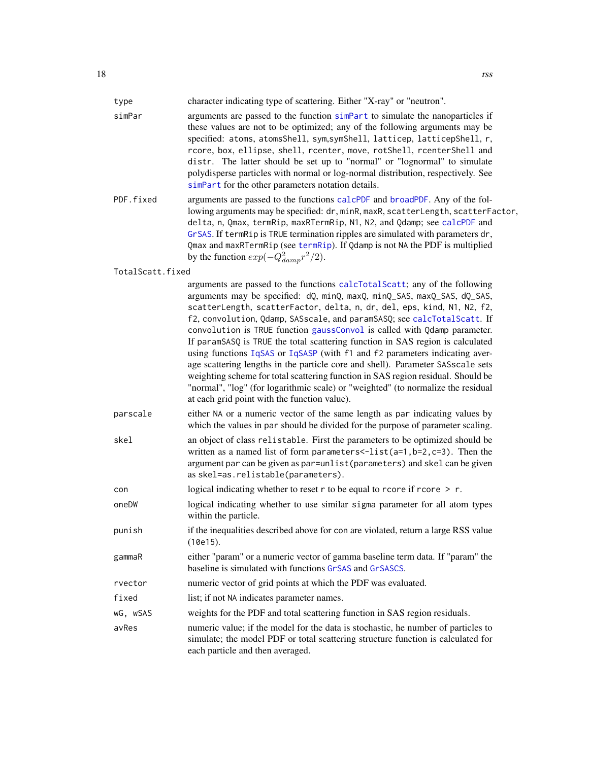<span id="page-17-0"></span>

| type             | character indicating type of scattering. Either "X-ray" or "neutron".                                                                                                                                                                                                                                                                                                                                                                                                                                                                                                                                                                                                                                                                                                                                                                                               |
|------------------|---------------------------------------------------------------------------------------------------------------------------------------------------------------------------------------------------------------------------------------------------------------------------------------------------------------------------------------------------------------------------------------------------------------------------------------------------------------------------------------------------------------------------------------------------------------------------------------------------------------------------------------------------------------------------------------------------------------------------------------------------------------------------------------------------------------------------------------------------------------------|
| simPar           | arguments are passed to the function simpart to simulate the nanoparticles if<br>these values are not to be optimized; any of the following arguments may be<br>specified: atoms, atomsShell, sym, symShell, latticep, latticepShell, r,<br>rcore, box, ellipse, shell, rcenter, move, rotShell, rcenterShell and<br>distr. The latter should be set up to "normal" or "lognormal" to simulate<br>polydisperse particles with normal or log-normal distribution, respectively. See<br>simPart for the other parameters notation details.                                                                                                                                                                                                                                                                                                                            |
| PDF.fixed        | arguments are passed to the functions calcPDF and broadPDF. Any of the fol-<br>lowing arguments may be specified: dr, minR, maxR, scatterLength, scatterFactor,<br>delta, n, Qmax, termRip, maxRTermRip, N1, N2, and Qdamp; see calcPDF and<br>GrSAS. If termRip is TRUE termination ripples are simulated with parameters dr,<br>Qmax and maxRTermRip (see termRip). If Qdamp is not NA the PDF is multiplied<br>by the function $exp(-Q_{damp}^2r^2/2)$ .                                                                                                                                                                                                                                                                                                                                                                                                         |
| TotalScatt.fixed |                                                                                                                                                                                                                                                                                                                                                                                                                                                                                                                                                                                                                                                                                                                                                                                                                                                                     |
|                  | arguments are passed to the functions calcTotalScatt; any of the following<br>arguments may be specified: dQ, minQ, maxQ, minQ_SAS, maxQ_SAS, dQ_SAS,<br>scatterLength, scatterFactor, delta, n, dr, del, eps, kind, N1, N2, f2,<br>f2, convolution, Qdamp, SASscale, and paramSASQ; see calcTotalScatt. If<br>convolution is TRUE function gaussConvol is called with Qdamp parameter.<br>If paramSASQ is TRUE the total scattering function in SAS region is calculated<br>using functions IqSAS or IqSASP (with f1 and f2 parameters indicating aver-<br>age scattering lengths in the particle core and shell). Parameter SASscale sets<br>weighting scheme for total scattering function in SAS region residual. Should be<br>"normal", "log" (for logarithmic scale) or "weighted" (to normalize the residual<br>at each grid point with the function value). |
| parscale         | either NA or a numeric vector of the same length as par indicating values by<br>which the values in par should be divided for the purpose of parameter scaling.                                                                                                                                                                                                                                                                                                                                                                                                                                                                                                                                                                                                                                                                                                     |
| skel             | an object of class relistable. First the parameters to be optimized should be<br>written as a named list of form parameters $\le$ -list(a=1,b=2,c=3). Then the<br>argument par can be given as par=unlist (parameters) and skel can be given<br>as skel=as.relistable(parameters).                                                                                                                                                                                                                                                                                                                                                                                                                                                                                                                                                                                  |
| con              | logical indicating whether to reset $r$ to be equal to rcore if rcore $\ge r$ .                                                                                                                                                                                                                                                                                                                                                                                                                                                                                                                                                                                                                                                                                                                                                                                     |
| oneDW            | logical indicating whether to use similar sigma parameter for all atom types<br>within the particle.                                                                                                                                                                                                                                                                                                                                                                                                                                                                                                                                                                                                                                                                                                                                                                |
| punish           | if the inequalities described above for con are violated, return a large RSS value<br>(10e15).                                                                                                                                                                                                                                                                                                                                                                                                                                                                                                                                                                                                                                                                                                                                                                      |
| gammaR           | either "param" or a numeric vector of gamma baseline term data. If "param" the<br>baseline is simulated with functions GrSAS and GrSASCS.                                                                                                                                                                                                                                                                                                                                                                                                                                                                                                                                                                                                                                                                                                                           |
| rvector          | numeric vector of grid points at which the PDF was evaluated.                                                                                                                                                                                                                                                                                                                                                                                                                                                                                                                                                                                                                                                                                                                                                                                                       |
| fixed            | list; if not NA indicates parameter names.                                                                                                                                                                                                                                                                                                                                                                                                                                                                                                                                                                                                                                                                                                                                                                                                                          |
| wG, wSAS         | weights for the PDF and total scattering function in SAS region residuals.                                                                                                                                                                                                                                                                                                                                                                                                                                                                                                                                                                                                                                                                                                                                                                                          |
| avRes            | numeric value; if the model for the data is stochastic, he number of particles to<br>simulate; the model PDF or total scattering structure function is calculated for<br>each particle and then averaged.                                                                                                                                                                                                                                                                                                                                                                                                                                                                                                                                                                                                                                                           |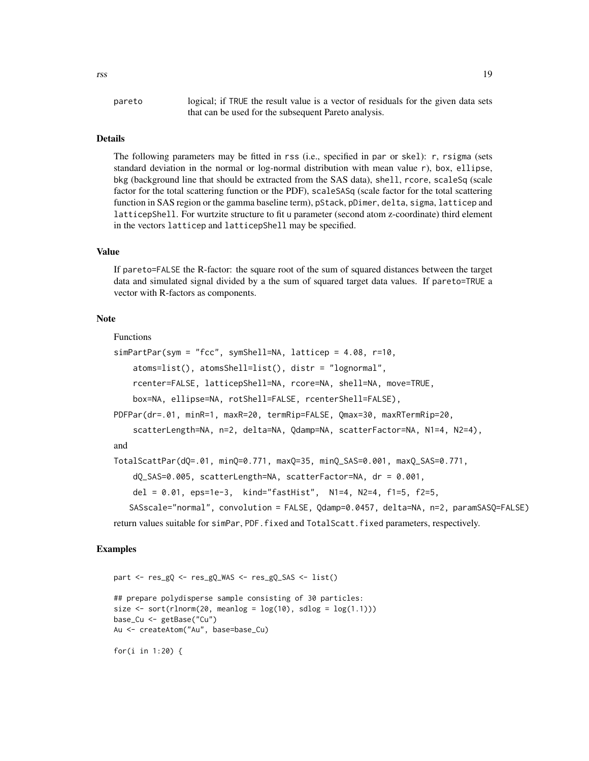rss and the contract of the contract of the contract of the contract of the contract of the contract of the contract of the contract of the contract of the contract of the contract of the contract of the contract of the co

pareto logical; if TRUE the result value is a vector of residuals for the given data sets that can be used for the subsequent Pareto analysis.

#### Details

The following parameters may be fitted in rss (i.e., specified in par or skel): r, rsigma (sets standard deviation in the normal or log-normal distribution with mean value r), box, ellipse, bkg (background line that should be extracted from the SAS data), shell, rcore, scaleSq (scale factor for the total scattering function or the PDF), scaleSASq (scale factor for the total scattering function in SAS region or the gamma baseline term), pStack, pDimer, delta, sigma, latticep and latticepShell. For wurtzite structure to fit u parameter (second atom z-coordinate) third element in the vectors latticep and latticepShell may be specified.

# Value

If pareto=FALSE the R-factor: the square root of the sum of squared distances between the target data and simulated signal divided by a the sum of squared target data values. If pareto=TRUE a vector with R-factors as components.

#### Note

Functions

```
simPartPar(sym = "fcc", symShell=NA, latticep = 4.08, r=10,
   atoms=list(), atomsShell=list(), distr = "lognormal",
   rcenter=FALSE, latticepShell=NA, rcore=NA, shell=NA, move=TRUE,
   box=NA, ellipse=NA, rotShell=FALSE, rcenterShell=FALSE),
PDFPar(dr=.01, minR=1, maxR=20, termRip=FALSE, Qmax=30, maxRTermRip=20,
   scatterLength=NA, n=2, delta=NA, Qdamp=NA, scatterFactor=NA, N1=4, N2=4),
and
TotalScattPar(dQ=.01, minQ=0.771, maxQ=35, minQ_SAS=0.001, maxQ_SAS=0.771,
   dQ_SAS=0.005, scatterLength=NA, scatterFactor=NA, dr = 0.001,
   del = 0.01, eps=1e-3, kind="fastHist", N1=4, N2=4, f1=5, f2=5,
   SASscale="normal", convolution = FALSE, Qdamp=0.0457, delta=NA, n=2, paramSASQ=FALSE)
```
return values suitable for simPar, PDF.fixed and TotalScatt.fixed parameters, respectively.

```
part <- res_gQ <- res_gQ_WAS <- res_gQ_SAS <- list()
## prepare polydisperse sample consisting of 30 particles:
size \leq sort(rlnorm(20, meanlog = \log(10), sdlog = \log(1.1)))
base_Cu <- getBase("Cu")
Au <- createAtom("Au", base=base_Cu)
for(i in 1:20) {
```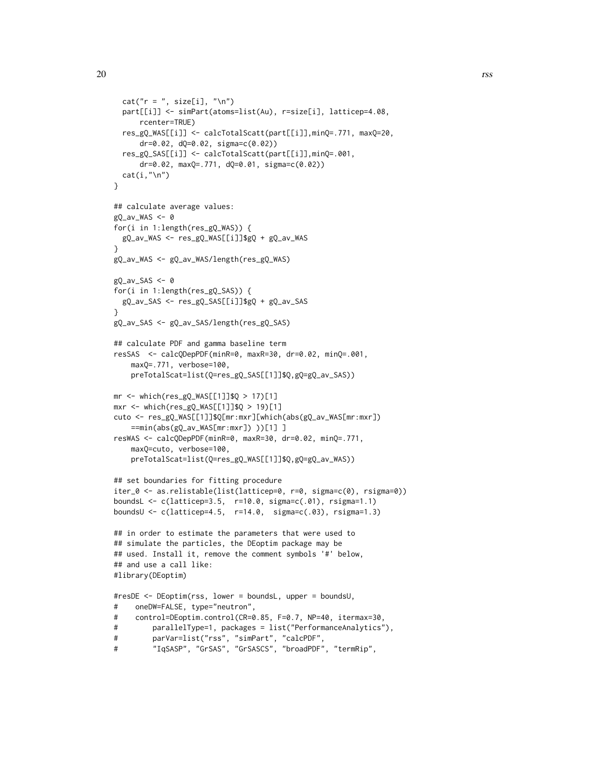```
cat("r = ", size[i], "\\n")part[[i]] <- simPart(atoms=list(Au), r=size[i], latticep=4.08,
      rcenter=TRUE)
  res_gQ_WAS[[i]] <- calcTotalScatt(part[[i]],minQ=.771, maxQ=20,
      dr=0.02, dQ=0.02, sigma=c(0.02))
  res_gQ_SAS[[i]] <- calcTotalScatt(part[[i]],minQ=.001,
      dr=0.02, maxQ=.771, dQ=0.01, sigma=c(0.02))
  cat(i, "n")}
## calculate average values:
gQ_av_WS < -0for(i in 1:length(res_gQ_WAS)) {
  gQ_av_WAS <- res_gQ_WAS[[i]]$gQ + gQ_av_WAS
}
gQ_av_WAS <- gQ_av_WAS/length(res_gQ_WAS)
gQ_av_SAS \leftarrow 0for(i in 1:length(res_gQ_SAS)) {
  gQ_av_SAS <- res_gQ_SAS[[i]]$gQ + gQ_av_SAS
}
gQ_av_SAS <- gQ_av_SAS/length(res_gQ_SAS)
## calculate PDF and gamma baseline term
resSAS <- calcQDepPDF(minR=0, maxR=30, dr=0.02, minQ=.001,
    maxQ=.771, verbose=100,
    preTotalScat=list(Q=res_gQ_SAS[[1]]$Q,gQ=gQ_av_SAS))
mr < - which(res_{gQ_{\text{WAS}}[1][3]$Q > 17)[1]
mxr \leftarrow which(res\_gQ_WAS[[1]]$Q > 19)[1]cuto <- res_gQ_WAS[[1]]$Q[mr:mxr][which(abs(gQ_av_WAS[mr:mxr])
    ==min(abs(gQ_av_WAS[mr:mxr]) ))[1] ]
resWAS <- calcQDepPDF(minR=0, maxR=30, dr=0.02, minQ=.771,
    maxQ=cuto, verbose=100,
    preTotalScat=list(Q=res_gQ_WAS[[1]]$Q,gQ=gQ_av_WAS))
## set boundaries for fitting procedure
iter_0 <- as.relistable(list(latticep=0, r=0, sigma=c(0), rsigma=0))
boundsL <- c(latticep=3.5, r=10.0, sigma=c(.01), rsigma=1.1)
boundsU <- c(latticep=4.5, r=14.0, sigma=c(.03), rsigma=1.3)
## in order to estimate the parameters that were used to
## simulate the particles, the DEoptim package may be
## used. Install it, remove the comment symbols '#' below,
## and use a call like:
#library(DEoptim)
#resDE <- DEoptim(rss, lower = boundsL, upper = boundsU,
# oneDW=FALSE, type="neutron",
# control=DEoptim.control(CR=0.85, F=0.7, NP=40, itermax=30,
# parallelType=1, packages = list("PerformanceAnalytics"),
# parVar=list("rss", "simPart", "calcPDF",
# "IqSASP", "GrSAS", "GrSASCS", "broadPDF", "termRip",
```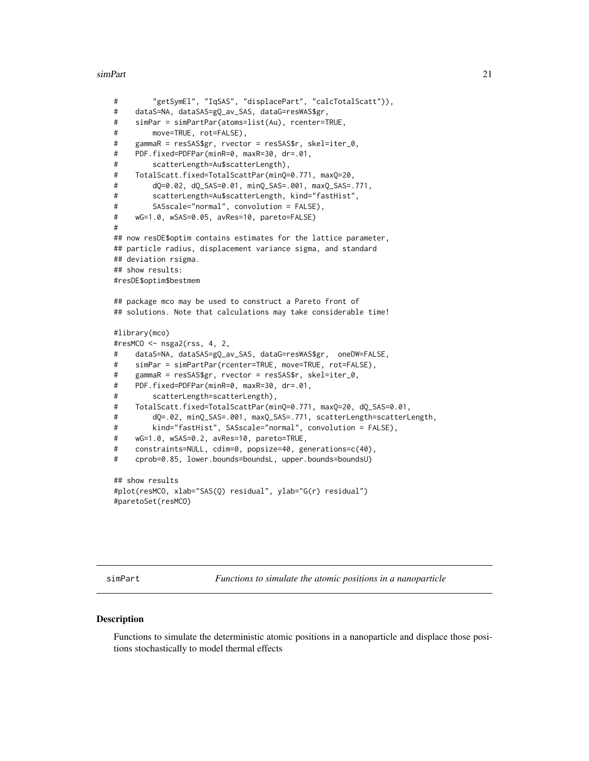#### <span id="page-20-0"></span>simPart 21

```
# "getSymEl", "IqSAS", "displacePart", "calcTotalScatt")),
# dataS=NA, dataSAS=gQ_av_SAS, dataG=resWAS$gr,
# simPar = simPartPar(atoms=list(Au), rcenter=TRUE,
# move=TRUE, rot=FALSE),
# gammaR = resSAS$gr, rvector = resSAS$r, skel=iter_0,
# PDF.fixed=PDFPar(minR=0, maxR=30, dr=.01,
# scatterLength=Au$scatterLength),
# TotalScatt.fixed=TotalScattPar(minQ=0.771, maxQ=20,
# dQ=0.02, dQ_SAS=0.01, minQ_SAS=.001, maxQ_SAS=.771,
# scatterLength=Au$scatterLength, kind="fastHist",
# SASscale="normal", convolution = FALSE),
# wG=1.0, wSAS=0.05, avRes=10, pareto=FALSE)
#
## now resDE$optim contains estimates for the lattice parameter,
## particle radius, displacement variance sigma, and standard
## deviation rsigma.
## show results:
#resDE$optim$bestmem
## package mco may be used to construct a Pareto front of
## solutions. Note that calculations may take considerable time!
#library(mco)
#resMCO <- nsga2(rss, 4, 2,
# dataS=NA, dataSAS=gQ_av_SAS, dataG=resWAS$gr, oneDW=FALSE,
# simPar = simPartPar(rcenter=TRUE, move=TRUE, rot=FALSE),
# gammaR = resSAS$gr, rvector = resSAS$r, skel=iter_0,
# PDF.fixed=PDFPar(minR=0, maxR=30, dr=.01,
# scatterLength=scatterLength),
# TotalScatt.fixed=TotalScattPar(minQ=0.771, maxQ=20, dQ_SAS=0.01,
# dQ=.02, minQ_SAS=.001, maxQ_SAS=.771, scatterLength=scatterLength,
# kind="fastHist", SASscale="normal", convolution = FALSE),
# wG=1.0, wSAS=0.2, avRes=10, pareto=TRUE,
# constraints=NULL, cdim=0, popsize=40, generations=c(40),
# cprob=0.85, lower.bounds=boundsL, upper.bounds=boundsU)
## show results
#plot(resMCO, xlab="SAS(Q) residual", ylab="G(r) residual")
#paretoSet(resMCO)
```
<span id="page-20-1"></span>simPart *Functions to simulate the atomic positions in a nanoparticle*

# <span id="page-20-2"></span>Description

Functions to simulate the deterministic atomic positions in a nanoparticle and displace those positions stochastically to model thermal effects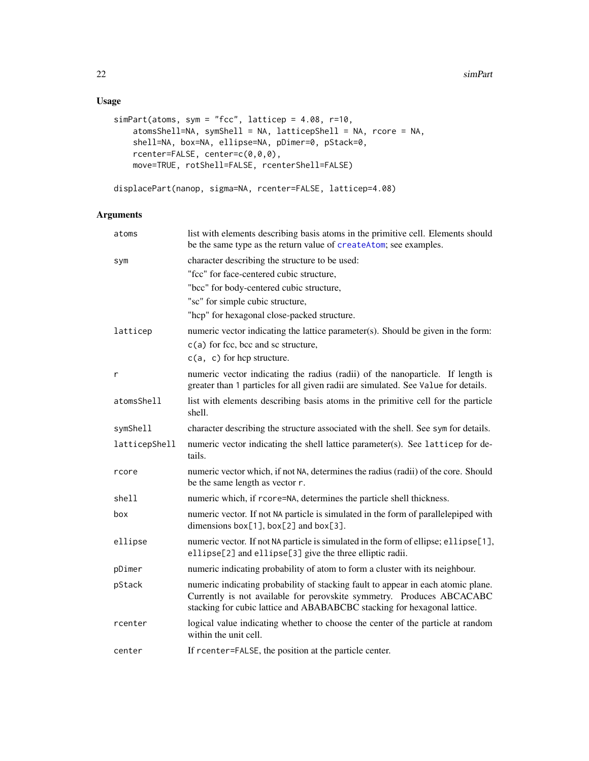# <span id="page-21-0"></span>Usage

```
simPart(atoms, sym = "fcc", latticep = 4.08, r=10,
   atomsShell=NA, symShell = NA, latticepShell = NA, rcore = NA,
   shell=NA, box=NA, ellipse=NA, pDimer=0, pStack=0,
   rcenter=FALSE, center=c(0,0,0),
   move=TRUE, rotShell=FALSE, rcenterShell=FALSE)
```
displacePart(nanop, sigma=NA, rcenter=FALSE, latticep=4.08)

# Arguments

| atoms         | list with elements describing basis atoms in the primitive cell. Elements should<br>be the same type as the return value of createAtom; see examples.                                                                                 |
|---------------|---------------------------------------------------------------------------------------------------------------------------------------------------------------------------------------------------------------------------------------|
| sym           | character describing the structure to be used:                                                                                                                                                                                        |
|               | "fcc" for face-centered cubic structure,                                                                                                                                                                                              |
|               | "bcc" for body-centered cubic structure,                                                                                                                                                                                              |
|               | "sc" for simple cubic structure,                                                                                                                                                                                                      |
|               | "hcp" for hexagonal close-packed structure.                                                                                                                                                                                           |
| latticep      | numeric vector indicating the lattice parameter(s). Should be given in the form:                                                                                                                                                      |
|               | $c(a)$ for fcc, bcc and sc structure,                                                                                                                                                                                                 |
|               | $c(a, c)$ for hcp structure.                                                                                                                                                                                                          |
| r             | numeric vector indicating the radius (radii) of the nanoparticle. If length is<br>greater than 1 particles for all given radii are simulated. See Value for details.                                                                  |
| atomsShell    | list with elements describing basis atoms in the primitive cell for the particle<br>shell.                                                                                                                                            |
| symShell      | character describing the structure associated with the shell. See sym for details.                                                                                                                                                    |
| latticepShell | numeric vector indicating the shell lattice parameter(s). See latticep for de-<br>tails.                                                                                                                                              |
| rcore         | numeric vector which, if not NA, determines the radius (radii) of the core. Should<br>be the same length as vector r.                                                                                                                 |
| shell         | numeric which, if rcore=NA, determines the particle shell thickness.                                                                                                                                                                  |
| box           | numeric vector. If not NA particle is simulated in the form of parallelepiped with<br>dimensions $box[1], box[2]$ and $box[3]$ .                                                                                                      |
| ellipse       | numeric vector. If not NA particle is simulated in the form of ellipse; ellipse[1],<br>ellipse[2] and ellipse[3] give the three elliptic radii.                                                                                       |
| pDimer        | numeric indicating probability of atom to form a cluster with its neighbour.                                                                                                                                                          |
| pStack        | numeric indicating probability of stacking fault to appear in each atomic plane.<br>Currently is not available for perovskite symmetry. Produces ABCACABC<br>stacking for cubic lattice and ABABABCBC stacking for hexagonal lattice. |
| rcenter       | logical value indicating whether to choose the center of the particle at random<br>within the unit cell.                                                                                                                              |
| center        | If reenter=FALSE, the position at the particle center.                                                                                                                                                                                |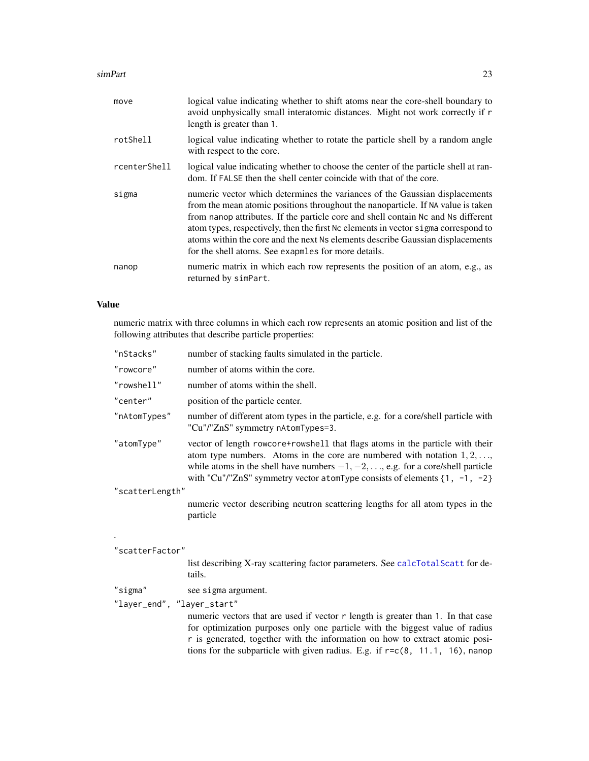## <span id="page-22-0"></span>simPart 23

| move         | logical value indicating whether to shift atoms near the core-shell boundary to<br>avoid unphysically small interatomic distances. Might not work correctly if r<br>length is greater than 1.                                                                                                                                                                                                                                                                                       |
|--------------|-------------------------------------------------------------------------------------------------------------------------------------------------------------------------------------------------------------------------------------------------------------------------------------------------------------------------------------------------------------------------------------------------------------------------------------------------------------------------------------|
| rotShell     | logical value indicating whether to rotate the particle shell by a random angle<br>with respect to the core.                                                                                                                                                                                                                                                                                                                                                                        |
| rcenterShell | logical value indicating whether to choose the center of the particle shell at ran-<br>dom. If FALSE then the shell center coincide with that of the core.                                                                                                                                                                                                                                                                                                                          |
| sigma        | numeric vector which determines the variances of the Gaussian displacements<br>from the mean atomic positions throughout the nanoparticle. If NA value is taken<br>from nanop attributes. If the particle core and shell contain Nc and Ns different<br>atom types, respectively, then the first Nc elements in vector sigma correspond to<br>atoms within the core and the next Ns elements describe Gaussian displacements<br>for the shell atoms. See examples for more details. |
| nanop        | numeric matrix in which each row represents the position of an atom, e.g., as<br>returned by simPart.                                                                                                                                                                                                                                                                                                                                                                               |

# Value

numeric matrix with three columns in which each row represents an atomic position and list of the following attributes that describe particle properties:

| "nStacks"       | number of stacking faults simulated in the particle.                                                                                                                                                                                                                                                                                        |
|-----------------|---------------------------------------------------------------------------------------------------------------------------------------------------------------------------------------------------------------------------------------------------------------------------------------------------------------------------------------------|
| "rowcore"       | number of atoms within the core.                                                                                                                                                                                                                                                                                                            |
| "rowshell"      | number of atoms within the shell.                                                                                                                                                                                                                                                                                                           |
| "center"        | position of the particle center.                                                                                                                                                                                                                                                                                                            |
| "nAtomTypes"    | number of different atom types in the particle, e.g. for a core/shell particle with<br>"Cu"/"ZnS" symmetry nAtomTypes=3.                                                                                                                                                                                                                    |
| "atomType"      | vector of length rowcore+rowshell that flags atoms in the particle with their<br>atom type numbers. Atoms in the core are numbered with notation $1, 2, \ldots$<br>while atoms in the shell have numbers $-1, -2, \ldots$ , e.g. for a core/shell particle<br>with "Cu"/"ZnS" symmetry vector atomType consists of elements $\{1, -1, -2\}$ |
| "scatterLength" |                                                                                                                                                                                                                                                                                                                                             |
|                 | numeric vector describing neutron scattering lengths for all atom types in the<br>particle                                                                                                                                                                                                                                                  |
| "scatterFactor" |                                                                                                                                                                                                                                                                                                                                             |
|                 | list describing X-ray scattering factor parameters. See calcTotalScatt for de-                                                                                                                                                                                                                                                              |

```
tails.
```
"sigma" see sigma argument.

"layer\_end", "layer\_start"

numeric vectors that are used if vector r length is greater than 1. In that case for optimization purposes only one particle with the biggest value of radius r is generated, together with the information on how to extract atomic positions for the subparticle with given radius. E.g. if r=c(8, 11.1, 16), nanop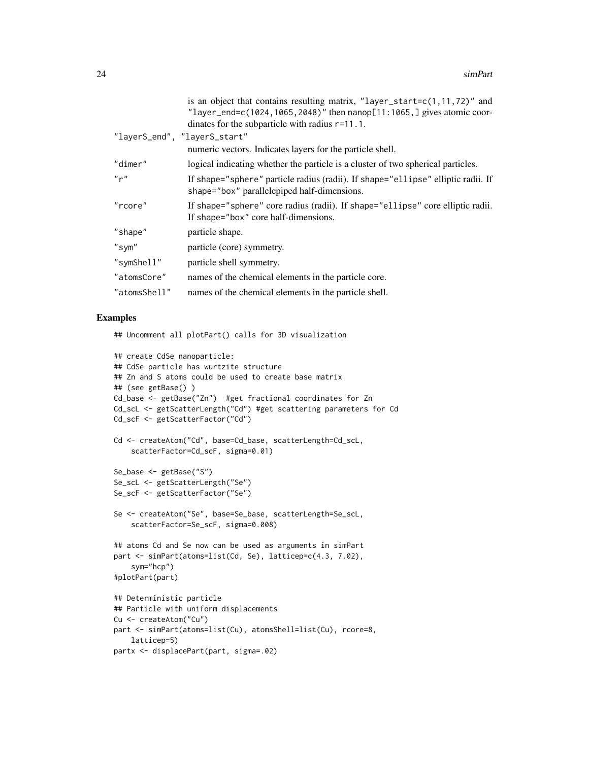| is an object that contains resulting matrix, "layer_start= $c(1, 11, 72)$ " and<br>"layer_end=c(1024,1065,2048)" then $namp[11:1065, ]$ gives atomic coor- |
|------------------------------------------------------------------------------------------------------------------------------------------------------------|
| dinates for the subparticle with radius $r=11.1$ .                                                                                                         |
| "layerS_end", "layerS_start"                                                                                                                               |
| numeric vectors. Indicates layers for the particle shell.                                                                                                  |
| logical indicating whether the particle is a cluster of two spherical particles.                                                                           |
| If shape="sphere" particle radius (radii). If shape="ellipse" elliptic radii. If<br>shape="box" parallelepiped half-dimensions.                            |
| If shape="sphere" core radius (radii). If shape="ellipse" core elliptic radii.<br>If shape="box" core half-dimensions.                                     |
| particle shape.                                                                                                                                            |
| particle (core) symmetry.                                                                                                                                  |
| particle shell symmetry.                                                                                                                                   |
| names of the chemical elements in the particle core.                                                                                                       |
| names of the chemical elements in the particle shell.                                                                                                      |
|                                                                                                                                                            |

# Examples

## Uncomment all plotPart() calls for 3D visualization

```
## create CdSe nanoparticle:
## CdSe particle has wurtzite structure
## Zn and S atoms could be used to create base matrix
## (see getBase() )
Cd_base <- getBase("Zn") #get fractional coordinates for Zn
Cd_scL <- getScatterLength("Cd") #get scattering parameters for Cd
Cd_scF <- getScatterFactor("Cd")
Cd <- createAtom("Cd", base=Cd_base, scatterLength=Cd_scL,
    scatterFactor=Cd_scF, sigma=0.01)
Se_base <- getBase("S")
Se_scL <- getScatterLength("Se")
Se_scF <- getScatterFactor("Se")
Se <- createAtom("Se", base=Se_base, scatterLength=Se_scL,
    scatterFactor=Se_scF, sigma=0.008)
## atoms Cd and Se now can be used as arguments in simPart
part <- simPart(atoms=list(Cd, Se), latticep=c(4.3, 7.02),
    sym="hcp")
#plotPart(part)
## Deterministic particle
## Particle with uniform displacements
Cu <- createAtom("Cu")
part <- simPart(atoms=list(Cu), atomsShell=list(Cu), rcore=8,
   latticep=5)
partx <- displacePart(part, sigma=.02)
```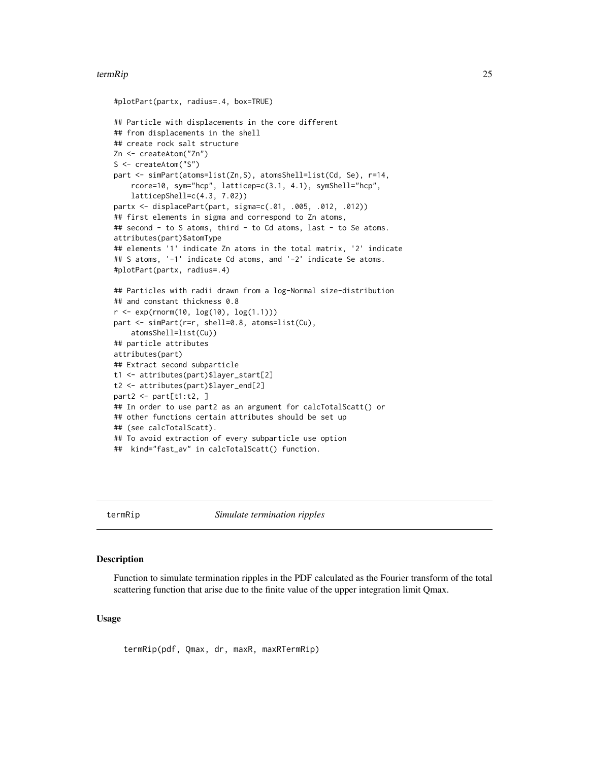#### <span id="page-24-0"></span>termRip 25

```
#plotPart(partx, radius=.4, box=TRUE)
## Particle with displacements in the core different
## from displacements in the shell
## create rock salt structure
Zn <- createAtom("Zn")
S <- createAtom("S")
part <- simPart(atoms=list(Zn,S), atomsShell=list(Cd, Se), r=14,
    rcore=10, sym="hcp", latticep=c(3.1, 4.1), symShell="hcp",
   latticepShell=c(4.3, 7.02))
partx <- displacePart(part, sigma=c(.01, .005, .012, .012))
## first elements in sigma and correspond to Zn atoms,
## second - to S atoms, third - to Cd atoms, last - to Se atoms.
attributes(part)$atomType
## elements '1' indicate Zn atoms in the total matrix, '2' indicate
## S atoms, '-1' indicate Cd atoms, and '-2' indicate Se atoms.
#plotPart(partx, radius=.4)
## Particles with radii drawn from a log-Normal size-distribution
## and constant thickness 0.8
r \leq -exp(rnorm(10, log(10), log(1.1)))part <- simPart(r=r, shell=0.8, atoms=list(Cu),
    atomsShell=list(Cu))
## particle attributes
attributes(part)
## Extract second subparticle
t1 <- attributes(part)$layer_start[2]
t2 <- attributes(part)$layer_end[2]
part2 < - part[t1:t2, ]## In order to use part2 as an argument for calcTotalScatt() or
## other functions certain attributes should be set up
## (see calcTotalScatt).
## To avoid extraction of every subparticle use option
## kind="fast_av" in calcTotalScatt() function.
```
<span id="page-24-1"></span>

termRip *Simulate termination ripples*

# Description

Function to simulate termination ripples in the PDF calculated as the Fourier transform of the total scattering function that arise due to the finite value of the upper integration limit Qmax.

# Usage

termRip(pdf, Qmax, dr, maxR, maxRTermRip)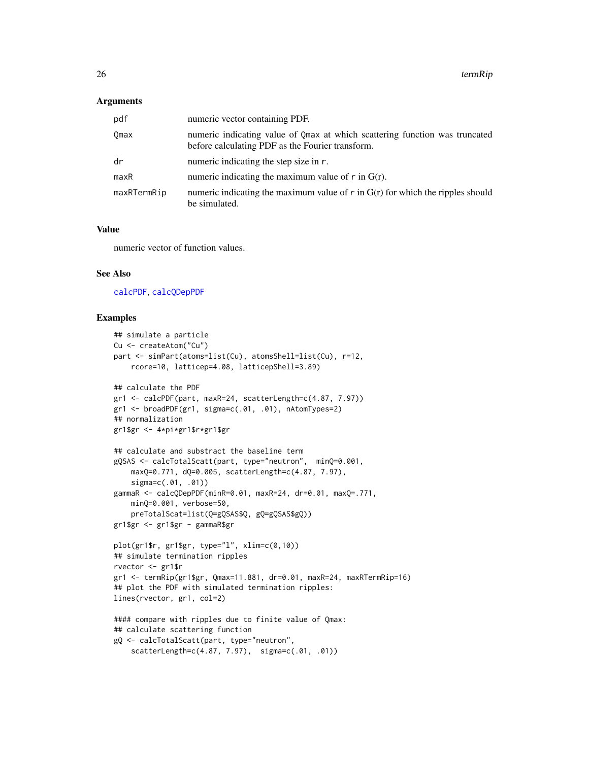# <span id="page-25-0"></span>Arguments

| pdf         | numeric vector containing PDF.                                                                                                  |
|-------------|---------------------------------------------------------------------------------------------------------------------------------|
| Omax        | numeric indicating value of Qmax at which scattering function was truncated<br>before calculating PDF as the Fourier transform. |
| dr          | numeric indicating the step size in r.                                                                                          |
| maxR        | numeric indicating the maximum value of $\mathbf r$ in $G(\mathbf r)$ .                                                         |
| maxRTermRip | numeric indicating the maximum value of $r$ in $G(r)$ for which the ripples should<br>be simulated.                             |

# Value

numeric vector of function values.

# See Also

[calcPDF](#page-2-1), [calcQDepPDF](#page-2-2)

```
## simulate a particle
Cu <- createAtom("Cu")
part <- simPart(atoms=list(Cu), atomsShell=list(Cu), r=12,
   rcore=10, latticep=4.08, latticepShell=3.89)
## calculate the PDF
gr1 <- calcPDF(part, maxR=24, scatterLength=c(4.87, 7.97))
gr1 <- broadPDF(gr1, sigma=c(.01, .01), nAtomTypes=2)
## normalization
gr1$gr <- 4*pi*gr1$r*gr1$gr
## calculate and substract the baseline term
gQSAS <- calcTotalScatt(part, type="neutron", minQ=0.001,
    maxQ=0.771, dQ=0.005, scatterLength=c(4.87, 7.97),
    sigma=c(.01, .01))
gammaR <- calcQDepPDF(minR=0.01, maxR=24, dr=0.01, maxQ=.771,
   minQ=0.001, verbose=50,
    preTotalScat=list(Q=gQSAS$Q, gQ=gQSAS$gQ))
gr1$gr <- gr1$gr - gammaR$gr
plot(gr1$r, gr1$gr, type="l", xlim=c(0,10))
## simulate termination ripples
rvector <- gr1$r
gr1 <- termRip(gr1$gr, Qmax=11.881, dr=0.01, maxR=24, maxRTermRip=16)
## plot the PDF with simulated termination ripples:
lines(rvector, gr1, col=2)
#### compare with ripples due to finite value of Qmax:
## calculate scattering function
gQ <- calcTotalScatt(part, type="neutron",
    scatterLength=c(4.87, 7.97), sigma=c(.01, .01))
```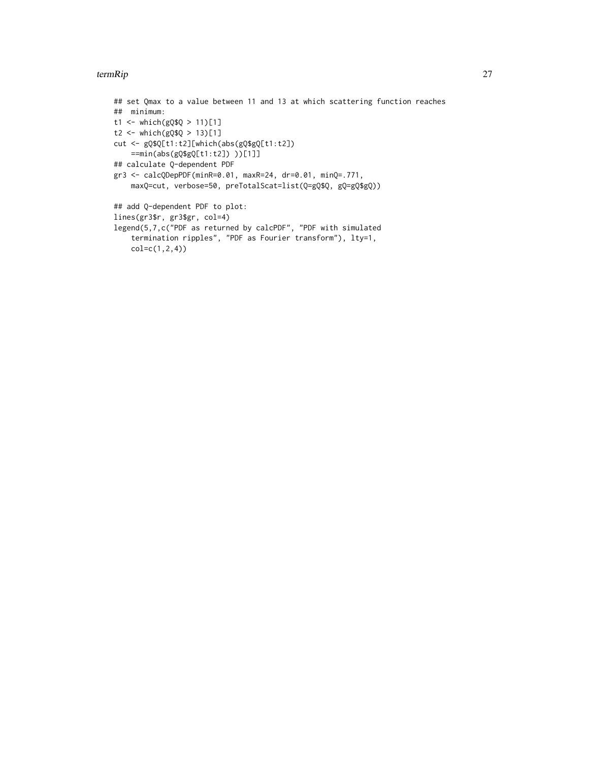# termRip 27

```
## set Qmax to a value between 11 and 13 at which scattering function reaches
## minimum:
t1 <- which(gQ$Q > 11)[1]
t2 <- which(gQ$Q > 13)[1]
cut <- gQ$Q[t1:t2][which(abs(gQ$gQ[t1:t2])
    ==min(abs(gQ$gQ[t1:t2]) ))[1]]
## calculate Q-dependent PDF
gr3 <- calcQDepPDF(minR=0.01, maxR=24, dr=0.01, minQ=.771,
    maxQ=cut, verbose=50, preTotalScat=list(Q=gQ$Q, gQ=gQ$gQ))
## add Q-dependent PDF to plot:
lines(gr3$r, gr3$gr, col=4)
legend(5,7,c("PDF as returned by calcPDF", "PDF with simulated
    termination ripples", "PDF as Fourier transform"), lty=1,
    col=c(1,2,4))
```